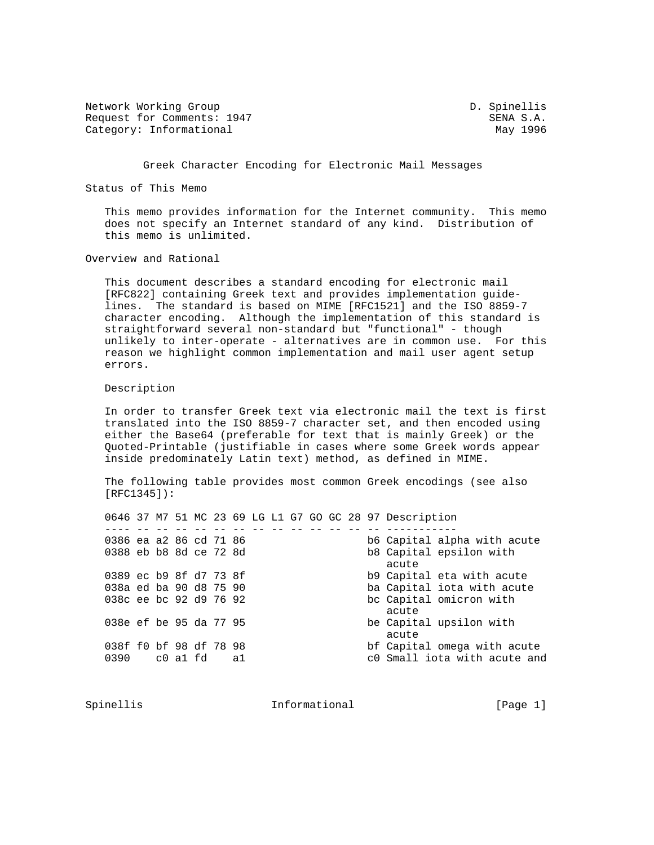Network Working Group D. Spinellis Request for Comments: 1947 SENA S.A. Category: Informational May 1996

Greek Character Encoding for Electronic Mail Messages

Status of This Memo

 This memo provides information for the Internet community. This memo does not specify an Internet standard of any kind. Distribution of this memo is unlimited.

Overview and Rational

 This document describes a standard encoding for electronic mail [RFC822] containing Greek text and provides implementation guide lines. The standard is based on MIME [RFC1521] and the ISO 8859-7 character encoding. Although the implementation of this standard is straightforward several non-standard but "functional" - though unlikely to inter-operate - alternatives are in common use. For this reason we highlight common implementation and mail user agent setup errors.

Description

 In order to transfer Greek text via electronic mail the text is first translated into the ISO 8859-7 character set, and then encoded using either the Base64 (preferable for text that is mainly Greek) or the Quoted-Printable (justifiable in cases where some Greek words appear inside predominately Latin text) method, as defined in MIME.

 The following table provides most common Greek encodings (see also  $[RTC1345]$ :

|                                                                                                                                                                                                                             |  |  |  |  |  |  | 0646 37 M7 51 MC 23 69 LG L1 G7 GO GC 28 97 Description |
|-----------------------------------------------------------------------------------------------------------------------------------------------------------------------------------------------------------------------------|--|--|--|--|--|--|---------------------------------------------------------|
|                                                                                                                                                                                                                             |  |  |  |  |  |  |                                                         |
| 0386 ea a2 86 cd 71 86                                                                                                                                                                                                      |  |  |  |  |  |  | b6 Capital alpha with acute                             |
| 0388 eb b8 8d ce 72 8d                                                                                                                                                                                                      |  |  |  |  |  |  | b8 Capital epsilon with                                 |
|                                                                                                                                                                                                                             |  |  |  |  |  |  | acute                                                   |
| 0389 ec b9 8f d7 73 8f                                                                                                                                                                                                      |  |  |  |  |  |  | b9 Capital eta with acute                               |
| 038a ed ba 90 d8 75 90                                                                                                                                                                                                      |  |  |  |  |  |  | ba Capital iota with acute                              |
| 038c ee bc 92 d9 76 92                                                                                                                                                                                                      |  |  |  |  |  |  | be Capital omicron with                                 |
|                                                                                                                                                                                                                             |  |  |  |  |  |  | acute                                                   |
| 038e ef be 95 da 77 95                                                                                                                                                                                                      |  |  |  |  |  |  | be Capital upsilon with                                 |
|                                                                                                                                                                                                                             |  |  |  |  |  |  | acute                                                   |
| 038f f0 bf 98 df 78 98                                                                                                                                                                                                      |  |  |  |  |  |  | bf Capital omega with acute                             |
| $0390$ $0.21$ $0.1$ $0.1$ $0.39$ $0.1$ $0.39$ $0.1$ $0.1$ $0.1$ $0.1$ $0.1$ $0.1$ $0.1$ $0.1$ $0.1$ $0.1$ $0.1$ $0.1$ $0.1$ $0.1$ $0.1$ $0.1$ $0.1$ $0.1$ $0.1$ $0.1$ $0.1$ $0.1$ $0.1$ $0.1$ $0.1$ $0.1$ $0.1$ $0.1$ $0.1$ |  |  |  |  |  |  | c0 Small iota with acute and                            |
|                                                                                                                                                                                                                             |  |  |  |  |  |  |                                                         |

Spinellis **Informational** Informational [Page 1]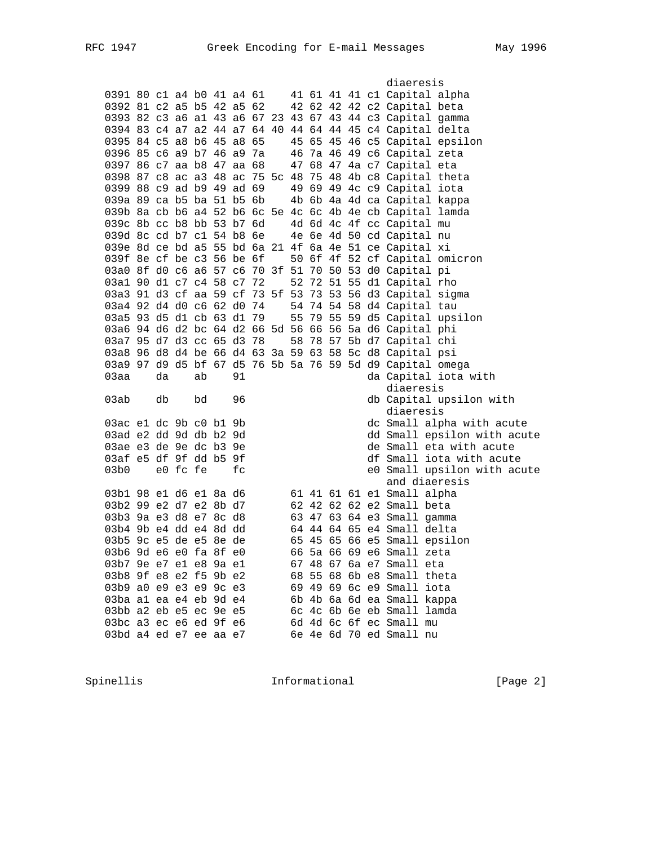diaeresis 0391 80 c1 a4 b0 41 a4 61 41 61 41 41 c1 Capital alpha 0392 81 c2 a5 b5 42 a5 62 42 62 42 42 c2 Capital beta 0393 82 c3 a6 a1 43 a6 67 23 43 67 43 44 c3 Capital gamma 0394 83 c4 a7 a2 44 a7 64 40 44 64 44 45 c4 Capital delta 0395 84 c5 a8 b6 45 a8 65 45 65 45 46 c5 Capital epsilon 0396 85 c6 a9 b7 46 a9 7a 46 7a 46 49 c6 Capital zeta 0397 86 c7 aa b8 47 aa 68 47 68 47 4a c7 Capital eta 0398 87 c8 ac a3 48 ac 75 5c 48 75 48 4b c8 Capital theta 0399 88 c9 ad b9 49 ad 69 49 69 49 4c c9 Capital iota 039a 89 ca b5 ba 51 b5 6b 4b 6b 4a 4d ca Capital kappa 039b 8a cb b6 a4 52 b6 6c 5e 4c 6c 4b 4e cb Capital lamda 039c 8b cc b8 bb 53 b7 6d 4d 6d 4c 4f cc Capital mu 039d 8c cd b7 c1 54 b8 6e 4e 6e 4d 50 cd Capital nu 039e 8d ce bd a5 55 bd 6a 21 4f 6a 4e 51 ce Capital xi 039f 8e cf be c3 56 be  $6f$  50  $6f$  4f 52 cf Capital omicron 03a0 8f d0 c6 a6 57 c6 70 3f 51 70 50 53 d0 Capital pi 03a1 90 d1 c7 c4 58 c7 72 52 72 51 55 d1 Capital rho 03a3 91 d3 cf aa 59 cf 73 5f 53 73 53 56 d3 Capital sigma 03a4 92 d4 d0 c6 62 d0 74 54 74 54 58 d4 Capital tau 03a5 93 d5 d1 cb 63 d1 79 55 79 55 59 d5 Capital upsilon 03a6 94 d6 d2 bc 64 d2 66 5d 56 66 56 5a d6 Capital phi 03a7 95 d7 d3 cc 65 d3 78 58 78 57 5b d7 Capital chi 03a8 96 d8 d4 be 66 d4 63 3a 59 63 58 5c d8 Capital psi 03a9 97 d9 d5 bf 67 d5 76 5b 5a 76 59 5d d9 Capital omega  $03$ aa da ab  $91$  diaeresis db Capital upsilon with<br>diaeresis diaeresis 03ac e1 dc 9b c0 b1 9b dc Small alpha with acute 03ad e2 dd 9d db b2 9d dd Small epsilon with acute 03ae e3 de 9e dc b3 9e de Small eta with acute 03af e5 df 9f dd b5 9f district in the Small iota with acute 03b0 e0 fc fe fc fc e0 Small upsilon with acute and diaeresis 03b1 98 e1 d6 e1 8a d6 61 41 61 61 e1 Small alpha 03b2 99 e2 d7 e2 8b d7 62 42 62 62 e2 Small beta 03b3 9a e3 d8 e7 8c d8 63 47 63 64 e3 Small gamma 03b4 9b e4 dd e4 8d dd 64 44 64 65 e4 Small delta 03b5 9c e5 de e5 8e de 65 45 65 66 e5 Small epsilon 03b6 9d e6 e0 fa 8f e0 66 5a 66 69 e6 Small zeta 03b7 9e e7 e1 e8 9a e1 67 48 67 6a e7 Small eta 03b8 9f e8 e2 f5 9b e2 68 55 68 6b e8 Small theta 03b9 a0 e9 e3 e9 9c e3 69 49 69 6c e9 Small iota 03ba a1 ea e4 eb 9d e4 6b 4b 6a 6d ea Small kappa 03bb a2 eb e5 ec 9e e5 6c 4c 6b 6e eb Small lamda 03bc a3 ec e6 ed 9f e6 6d 4d 6c 6f ec Small mu 03bd a4 ed e7 ee aa e7 6e 4e 6d 70 ed Small nu

Spinellis **Informational** Informational [Page 2]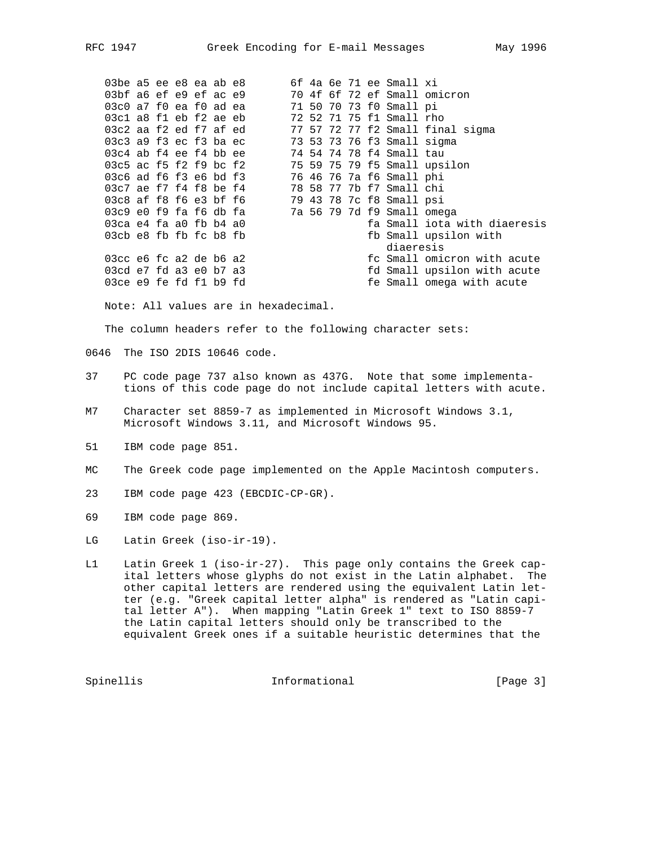03be a5 ee e8 ea ab e8 6f 4a 6e 71 ee Small xi 03bf a6 ef e9 ef ac e9 70 4f 6f 72 ef Small omicron 03c0 a7 f0 ea f0 ad ea 71 50 70 73 f0 Small pi 03c1 a8 f1 eb f2 ae eb 72 52 71 75 f1 Small rho 03c2 aa f2 ed f7 af ed 77 57 72 77 f2 Small final sigma 03c3 a9 f3 ec f3 ba ec 73 53 73 76 f3 Small sigma 03c4 ab f4 ee f4 bb ee 74 54 74 78 f4 Small tau 03c5 ac f5 f2 f9 bc f2 75 59 75 79 f5 Small upsilon 03c6 ad f6 f3 e6 bd f3 76 46 76 7a f6 Small phi 03c7 ae f7 f4 f8 be f4 78 58 77 7b f7 Small chi 03c8 af f8 f6 e3 bf f6 79 43 78 7c f8 Small psi 03c9 e0 f9 fa f6 db fa 7a 56 79 7d f9 Small omega 03ca e4 fa a0 fb b4 a0 fa Small iota with diaeresis 03cb e8 fb fb fc b8 fb fb fb fb fb fb fb fb Small upsilon with diaeresis 03cc e6 fc a2 de b6 a2 fc Small omicron with acute 03cc e6 fc a2 de b6 a2 fc Small omicron with acute<br>03cd e7 fd a3 e0 b7 a3 fd Small upsilon with acute<br>03ce e9 fe fd f1 b9 fd fe Small omega with acute fe Small omega with acute

Note: All values are in hexadecimal.

The column headers refer to the following character sets:

0646 The ISO 2DIS 10646 code.

- 37 PC code page 737 also known as 437G. Note that some implementa tions of this code page do not include capital letters with acute.
- M7 Character set 8859-7 as implemented in Microsoft Windows 3.1, Microsoft Windows 3.11, and Microsoft Windows 95.
- 51 IBM code page 851.
- MC The Greek code page implemented on the Apple Macintosh computers.
- 23 IBM code page 423 (EBCDIC-CP-GR).
- 69 IBM code page 869.
- LG Latin Greek (iso-ir-19).
- L1 Latin Greek 1 (iso-ir-27). This page only contains the Greek cap ital letters whose glyphs do not exist in the Latin alphabet. The other capital letters are rendered using the equivalent Latin let ter (e.g. "Greek capital letter alpha" is rendered as "Latin capi tal letter A"). When mapping "Latin Greek 1" text to ISO 8859-7 the Latin capital letters should only be transcribed to the equivalent Greek ones if a suitable heuristic determines that the

Spinellis Informational [Page 3]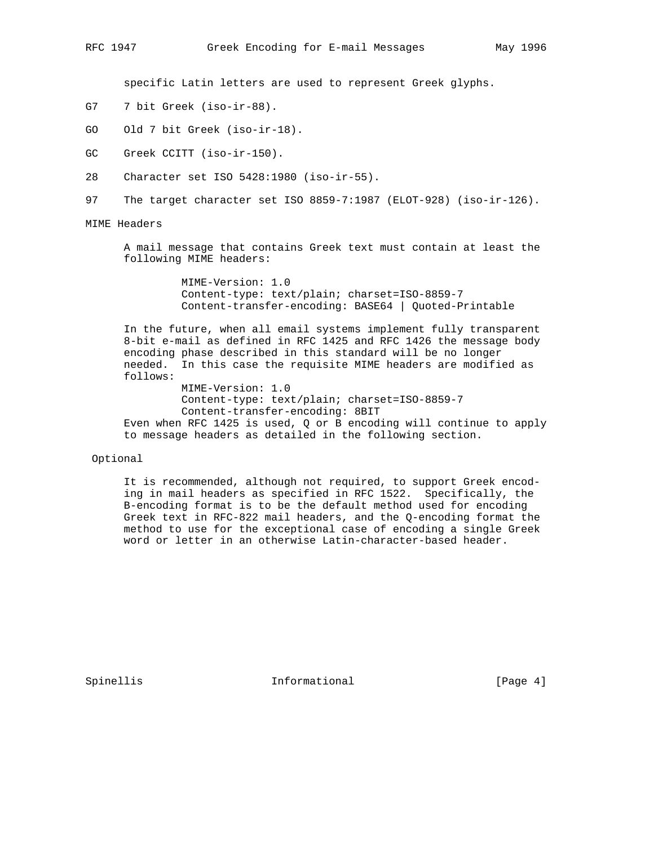specific Latin letters are used to represent Greek glyphs.

- G7 7 bit Greek (iso-ir-88).
- GO Old 7 bit Greek (iso-ir-18).
- GC Greek CCITT (iso-ir-150).
- 28 Character set ISO 5428:1980 (iso-ir-55).
- 97 The target character set ISO 8859-7:1987 (ELOT-928) (iso-ir-126).
- MIME Headers

 A mail message that contains Greek text must contain at least the following MIME headers:

> MIME-Version: 1.0 Content-type: text/plain; charset=ISO-8859-7 Content-transfer-encoding: BASE64 | Quoted-Printable

 In the future, when all email systems implement fully transparent 8-bit e-mail as defined in RFC 1425 and RFC 1426 the message body encoding phase described in this standard will be no longer needed. In this case the requisite MIME headers are modified as follows:

 MIME-Version: 1.0 Content-type: text/plain; charset=ISO-8859-7 Content-transfer-encoding: 8BIT Even when RFC 1425 is used, Q or B encoding will continue to apply to message headers as detailed in the following section.

## Optional

 It is recommended, although not required, to support Greek encod ing in mail headers as specified in RFC 1522. Specifically, the B-encoding format is to be the default method used for encoding Greek text in RFC-822 mail headers, and the Q-encoding format the method to use for the exceptional case of encoding a single Greek word or letter in an otherwise Latin-character-based header.

Spinellis 1nformational [Page 4]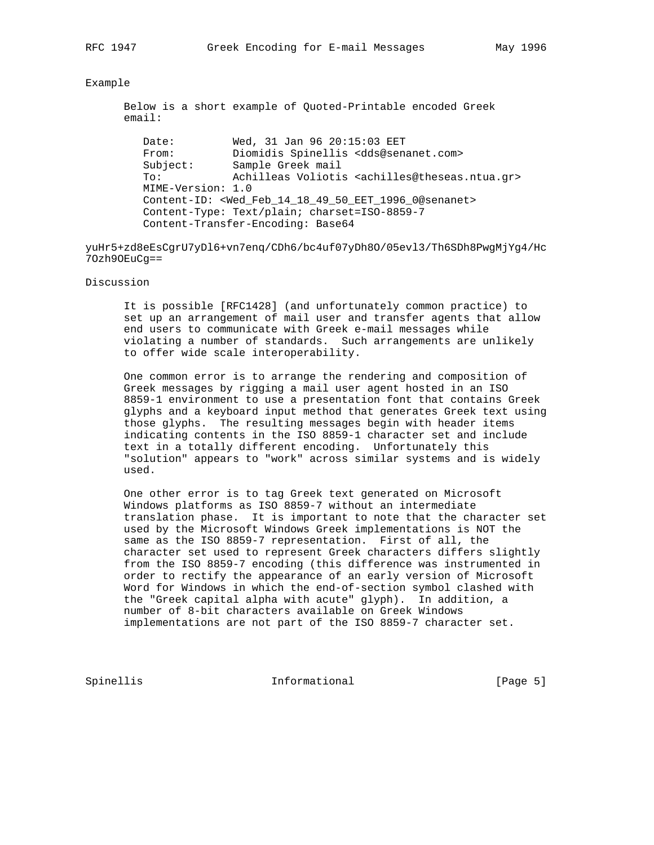## Example

 Below is a short example of Quoted-Printable encoded Greek email:

Date: Wed, 31 Jan 96 20:15:03 EET From: Diomidis Spinellis <dds@senanet.com> Subject: Sample Greek mail To: Achilleas Voliotis <achilles@theseas.ntua.gr> MIME-Version: 1.0 Content-ID: <Wed\_Feb\_14\_18\_49\_50\_EET\_1996\_0@senanet> Content-Type: Text/plain; charset=ISO-8859-7 Content-Transfer-Encoding: Base64

yuHr5+zd8eEsCgrU7yDl6+vn7enq/CDh6/bc4uf07yDh8O/05evl3/Th6SDh8PwgMjYg4/Hc 7Ozh9OEuCg==

## Discussion

 It is possible [RFC1428] (and unfortunately common practice) to set up an arrangement of mail user and transfer agents that allow end users to communicate with Greek e-mail messages while violating a number of standards. Such arrangements are unlikely to offer wide scale interoperability.

 One common error is to arrange the rendering and composition of Greek messages by rigging a mail user agent hosted in an ISO 8859-1 environment to use a presentation font that contains Greek glyphs and a keyboard input method that generates Greek text using those glyphs. The resulting messages begin with header items indicating contents in the ISO 8859-1 character set and include text in a totally different encoding. Unfortunately this "solution" appears to "work" across similar systems and is widely used.

 One other error is to tag Greek text generated on Microsoft Windows platforms as ISO 8859-7 without an intermediate translation phase. It is important to note that the character set used by the Microsoft Windows Greek implementations is NOT the same as the ISO 8859-7 representation. First of all, the character set used to represent Greek characters differs slightly from the ISO 8859-7 encoding (this difference was instrumented in order to rectify the appearance of an early version of Microsoft Word for Windows in which the end-of-section symbol clashed with the "Greek capital alpha with acute" glyph). In addition, a number of 8-bit characters available on Greek Windows implementations are not part of the ISO 8859-7 character set.

Spinellis 1nformational [Page 5]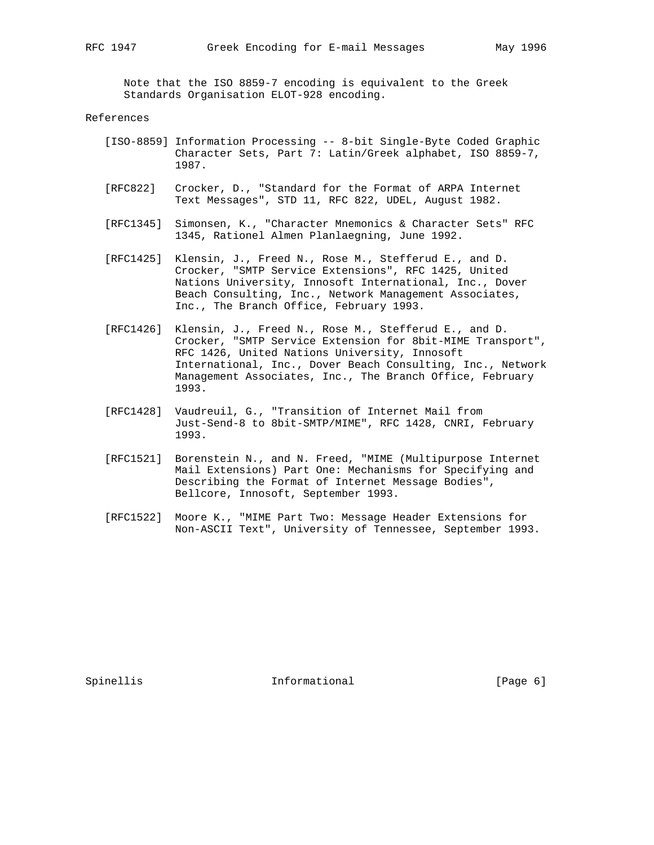Note that the ISO 8859-7 encoding is equivalent to the Greek Standards Organisation ELOT-928 encoding.

## References

- [ISO-8859] Information Processing -- 8-bit Single-Byte Coded Graphic Character Sets, Part 7: Latin/Greek alphabet, ISO 8859-7, 1987.
- [RFC822] Crocker, D., "Standard for the Format of ARPA Internet Text Messages", STD 11, RFC 822, UDEL, August 1982.
- [RFC1345] Simonsen, K., "Character Mnemonics & Character Sets" RFC 1345, Rationel Almen Planlaegning, June 1992.
- [RFC1425] Klensin, J., Freed N., Rose M., Stefferud E., and D. Crocker, "SMTP Service Extensions", RFC 1425, United Nations University, Innosoft International, Inc., Dover Beach Consulting, Inc., Network Management Associates, Inc., The Branch Office, February 1993.
- [RFC1426] Klensin, J., Freed N., Rose M., Stefferud E., and D. Crocker, "SMTP Service Extension for 8bit-MIME Transport", RFC 1426, United Nations University, Innosoft International, Inc., Dover Beach Consulting, Inc., Network Management Associates, Inc., The Branch Office, February 1993.
- [RFC1428] Vaudreuil, G., "Transition of Internet Mail from Just-Send-8 to 8bit-SMTP/MIME", RFC 1428, CNRI, February 1993.
- [RFC1521] Borenstein N., and N. Freed, "MIME (Multipurpose Internet Mail Extensions) Part One: Mechanisms for Specifying and Describing the Format of Internet Message Bodies", Bellcore, Innosoft, September 1993.
- [RFC1522] Moore K., "MIME Part Two: Message Header Extensions for Non-ASCII Text", University of Tennessee, September 1993.

Spinellis 1nformational [Page 6] Informational